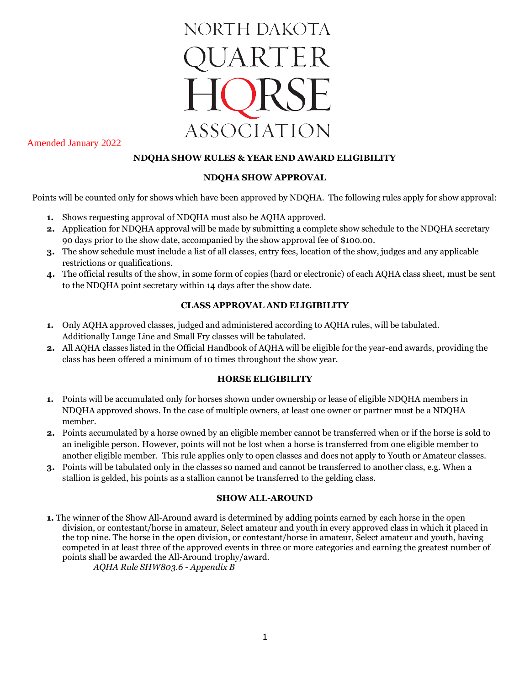

Amended January 2022

## **NDQHA SHOW RULES & YEAR END AWARD ELIGIBILITY**

#### **NDQHA SHOW APPROVAL**

Points will be counted only for shows which have been approved by NDQHA. The following rules apply for show approval:

- **1.** Shows requesting approval of NDQHA must also be AQHA approved.
- **2.** Application for NDQHA approval will be made by submitting a complete show schedule to the NDQHA secretary 90 days prior to the show date, accompanied by the show approval fee of \$100.00.
- **3.** The show schedule must include a list of all classes, entry fees, location of the show, judges and any applicable restrictions or qualifications.
- **4.** The official results of the show, in some form of copies (hard or electronic) of each AQHA class sheet, must be sent to the NDQHA point secretary within 14 days after the show date.

## **CLASS APPROVAL AND ELIGIBILITY**

- **1.** Only AQHA approved classes, judged and administered according to AQHA rules, will be tabulated. Additionally Lunge Line and Small Fry classes will be tabulated.
- **2.** All AQHA classes listed in the Official Handbook of AQHA will be eligible for the year-end awards, providing the class has been offered a minimum of 10 times throughout the show year.

#### **HORSE ELIGIBILITY**

- **1.** Points will be accumulated only for horses shown under ownership or lease of eligible NDQHA members in NDQHA approved shows. In the case of multiple owners, at least one owner or partner must be a NDQHA member.
- **2.** Points accumulated by a horse owned by an eligible member cannot be transferred when or if the horse is sold to an ineligible person. However, points will not be lost when a horse is transferred from one eligible member to another eligible member. This rule applies only to open classes and does not apply to Youth or Amateur classes.
- **3.** Points will be tabulated only in the classes so named and cannot be transferred to another class, e.g. When a stallion is gelded, his points as a stallion cannot be transferred to the gelding class.

#### **SHOW ALL-AROUND**

**1.** The winner of the Show All-Around award is determined by adding points earned by each horse in the open division, or contestant/horse in amateur, Select amateur and youth in every approved class in which it placed in the top nine. The horse in the open division, or contestant/horse in amateur, Select amateur and youth, having competed in at least three of the approved events in three or more categories and earning the greatest number of points shall be awarded the All-Around trophy/award.

*AQHA Rule SHW803.6 - Appendix B*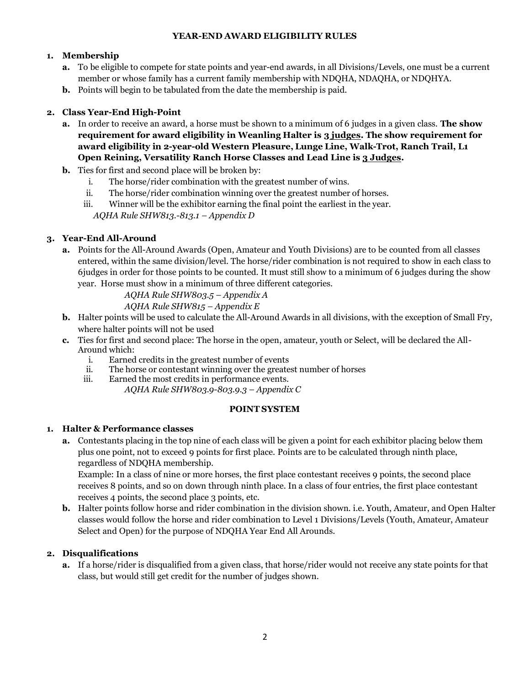## **YEAR-END AWARD ELIGIBILITY RULES**

# **1. Membership**

- **a.** To be eligible to compete for state points and year-end awards, in all Divisions/Levels, one must be a current member or whose family has a current family membership with NDQHA, NDAQHA, or NDQHYA.
- **b.** Points will begin to be tabulated from the date the membership is paid.

## **2. Class Year-End High-Point**

- **a.** In order to receive an award, a horse must be shown to a minimum of 6 judges in a given class. **The show requirement for award eligibility in Weanling Halter is 3 judges. The show requirement for award eligibility in 2-year-old Western Pleasure, Lunge Line, Walk-Trot, Ranch Trail, L1 Open Reining, Versatility Ranch Horse Classes and Lead Line is 3 Judges.**
- **b.** Ties for first and second place will be broken by:
	- i. The horse/rider combination with the greatest number of wins.
	- ii. The horse/rider combination winning over the greatest number of horses.
	- iii. Winner will be the exhibitor earning the final point the earliest in the year. *AQHA Rule SHW813.-813.1 – Appendix D*

# **3. Year-End All-Around**

**a.** Points for the All-Around Awards (Open, Amateur and Youth Divisions) are to be counted from all classes entered, within the same division/level. The horse/rider combination is not required to show in each class to 6judges in order for those points to be counted. It must still show to a minimum of 6 judges during the show year. Horse must show in a minimum of three different categories.

*AQHA Rule SHW803.5 – Appendix A*

# *AQHA Rule SHW815 – Appendix E*

- **b.** Halter points will be used to calculate the All-Around Awards in all divisions, with the exception of Small Fry, where halter points will not be used
- **c.** Ties for first and second place: The horse in the open, amateur, youth or Select, will be declared the All-Around which:
	- i. Earned credits in the greatest number of events
	- ii. The horse or contestant winning over the greatest number of horses
	- iii. Earned the most credits in performance events. *AQHA Rule SHW803.9-803.9.3 – Appendix C*

#### **POINT SYSTEM**

# **1. Halter & Performance classes**

**a.** Contestants placing in the top nine of each class will be given a point for each exhibitor placing below them plus one point, not to exceed 9 points for first place. Points are to be calculated through ninth place, regardless of NDQHA membership.

Example: In a class of nine or more horses, the first place contestant receives 9 points, the second place receives 8 points, and so on down through ninth place. In a class of four entries, the first place contestant receives 4 points, the second place 3 points, etc.

**b.** Halter points follow horse and rider combination in the division shown. i.e. Youth, Amateur, and Open Halter classes would follow the horse and rider combination to Level 1 Divisions/Levels (Youth, Amateur, Amateur Select and Open) for the purpose of NDQHA Year End All Arounds.

# **2. Disqualifications**

**a.** If a horse/rider is disqualified from a given class, that horse/rider would not receive any state points for that class, but would still get credit for the number of judges shown.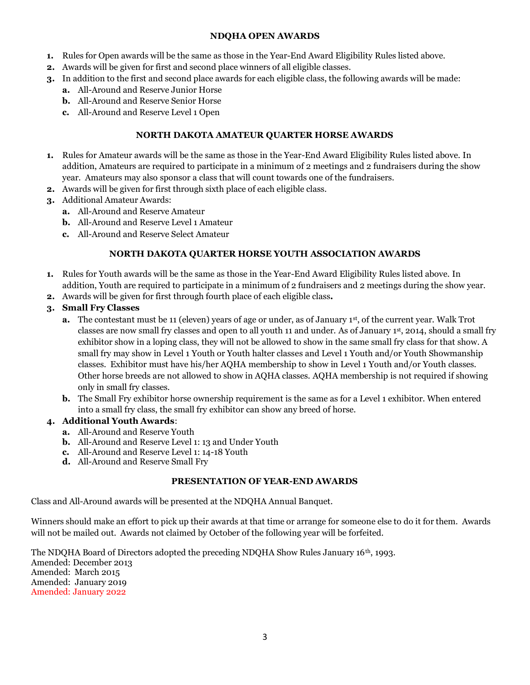#### **NDQHA OPEN AWARDS**

- **1.** Rules for Open awards will be the same as those in the Year-End Award Eligibility Rules listed above.
- **2.** Awards will be given for first and second place winners of all eligible classes.
- **3.** In addition to the first and second place awards for each eligible class, the following awards will be made:
	- **a.** All-Around and Reserve Junior Horse
	- **b.** All-Around and Reserve Senior Horse
	- **c.** All-Around and Reserve Level 1 Open

## **NORTH DAKOTA AMATEUR QUARTER HORSE AWARDS**

- **1.** Rules for Amateur awards will be the same as those in the Year-End Award Eligibility Rules listed above. In addition, Amateurs are required to participate in a minimum of 2 meetings and 2 fundraisers during the show year. Amateurs may also sponsor a class that will count towards one of the fundraisers.
- **2.** Awards will be given for first through sixth place of each eligible class.
- **3.** Additional Amateur Awards:
	- **a.** All-Around and Reserve Amateur
	- **b.** All-Around and Reserve Level 1 Amateur
	- **c.** All-Around and Reserve Select Amateur

## **NORTH DAKOTA QUARTER HORSE YOUTH ASSOCIATION AWARDS**

- **1.** Rules for Youth awards will be the same as those in the Year-End Award Eligibility Rules listed above. In addition, Youth are required to participate in a minimum of 2 fundraisers and 2 meetings during the show year.
- **2.** Awards will be given for first through fourth place of each eligible class**.**
- **3. Small Fry Classes**
	- **a.** The contestant must be 11 (eleven) years of age or under, as of January 1st, of the current year. Walk Trot classes are now small fry classes and open to all youth 11 and under. As of January 1st, 2014, should a small fry exhibitor show in a loping class, they will not be allowed to show in the same small fry class for that show. A small fry may show in Level 1 Youth or Youth halter classes and Level 1 Youth and/or Youth Showmanship classes. Exhibitor must have his/her AQHA membership to show in Level 1 Youth and/or Youth classes. Other horse breeds are not allowed to show in AQHA classes. AQHA membership is not required if showing only in small fry classes.
	- **b.** The Small Fry exhibitor horse ownership requirement is the same as for a Level 1 exhibitor. When entered into a small fry class, the small fry exhibitor can show any breed of horse.

#### **4. Additional Youth Awards**:

- **a.** All-Around and Reserve Youth
- **b.** All-Around and Reserve Level 1: 13 and Under Youth
- **c.** All-Around and Reserve Level 1: 14-18 Youth
- **d.** All-Around and Reserve Small Fry

#### **PRESENTATION OF YEAR-END AWARDS**

Class and All-Around awards will be presented at the NDQHA Annual Banquet.

Winners should make an effort to pick up their awards at that time or arrange for someone else to do it for them. Awards will not be mailed out. Awards not claimed by October of the following year will be forfeited.

The NDQHA Board of Directors adopted the preceding NDQHA Show Rules January 16th, 1993. Amended: December 2013 Amended: March 2015 Amended: January 2019 Amended: January 2022